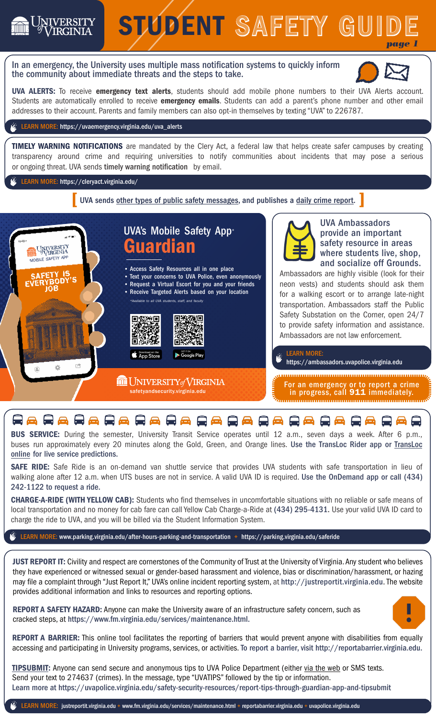

BUS SERVICE: During the semester, University Transit Service operates until 12 a.m., seven days a week. After 6 p.m., buses run approximately every 20 minutes along the Gold, Green, and Orange lines. Use the [TransLoc](https://uva.transloc.com/) Rider app or TransLoc [online](https://uva.transloc.com/) for live service predictions.

SAFE RIDE: Safe Ride is an on-demand van shuttle service that provides UVA students with safe transportation in lieu of walking alone after 12 a.m. when UTS buses are not in service. A valid UVA ID is required. Use the OnDemand app or call (434) 242-1122 to request a ride.

CHARGE-A-RIDE (WITH YELLOW CAB): Students who find themselves in uncomfortable situations with no reliable or safe means of local transportation and no money for cab fare can call Yellow Cab Charge-a-Ride at (434) 295-4131. Use your valid UVA ID card to charge the ride to UVA, and you will be billed via the Student Information System.

LEARN MORE: www.parking.virginia.edu/after-hours-parking-and-transportation + https://parking.virginia.edu/saferide

JUST REPORT IT: Civility and respect are cornerstones of the Community of Trust at the University of Virginia.Any student who believes they have experienced or witnessed sexual or gender-based harassment and violence, bias or discrimination/harassment, or hazing may file a complaint through "Just Report It," UVA's online incident reporting system, at http://justreportit.virginia.edu. The website provides additional information and links to resources and reporting options.

REPORT A SAFETY HAZARD: Anyone can make the University aware of an infrastructure safety concern, such as cracked steps, at https://www.fm.virginia.edu/services/maintenance.html.



 accessing and participating in University programs, services, or activities. To report a barrier, visit http://reportabarrier.virginia.edu. REPORT A BARRIER: This online tool facilitates the reporting of barriers that would prevent anyone with disabilities from equally

[TIPSUBMIT:](https://new.tipsubmit.com/en/create-report/anonymous/virginia.edu) Anyone can send secure and anonymous tips to UVA Police Department (either [via the web](https://new.tipsubmit.com/en/create-report/anonymous/virginia.edu) or SMS texts. Send your text to 274637 (crimes). In the message, type "UVATIPS" followed by the tip or information. Learn more at https://uvapolice.virginia.edu/safety-security-resources/report-tips-through-guardian-app-and-tipsubmit

 $\widetilde{\mathscr{E}}$  LEARN MORE: [justreportit.virginia.edu +](https://justreportit.virginia.edu) [www.fm.virginia.edu/services/maintenance.html +](www.fm.virginia.edu/services/maintenance.html) [reportabarrier.virginia.edu](https://reportabarrier.virginia.edu/Report/Submit) + uvapolice.virginia.edu